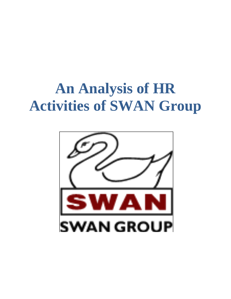### **An Analysis of HR Activities of SWAN Group**

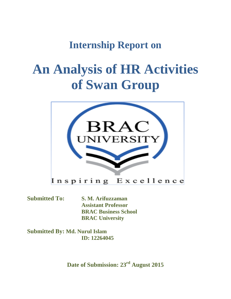### **Internship Report on**

### **An Analysis of HR Activities of Swan Group**



**Submitted To: S. M. Arifuzzaman Assistant Professor BRAC Business School BRAC University**

**Submitted By: Md. Nurul Islam ID: 12264045**

**Date of Submission: 23rd August 2015**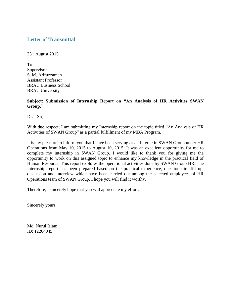#### **Letter of Transmittal**

 $23<sup>rd</sup>$  August 2015

To Supervisor S. M. Arifuzzaman Assistant Professor BRAC Business School BRAC University

#### **Subject: Submission of Internship Report on "An Analysis of HR Activities SWAN Group."**

Dear Sir,

With due respect, I am submitting my Internship report on the topic titled "An Analysis of HR Activities of SWAN Group" as a partial fulfillment of my MBA Program.

It is my pleasure to inform you that I have been serving as an Interne in SWAN Group under HR Operations from May 10, 2015 to August 10, 2015. It was an excellent opportunity for me to complete my internship in SWAN Group. I would like to thank you for giving me the opportunity to work on this assigned topic to enhance my knowledge in the practical field of Human Resource. This report explores the operational activities done by SWAN Group HR. The Internship report has been prepared based on the practical experience, questionnaire fill up, discussion and interview which have been carried out among the selected employees of HR Operations team of SWAN Group. I hope you will find it worthy.

Therefore, I sincerely hope that you will appreciate my effort.

Sincerely yours,

Md. Nurul Islam ID: 12264045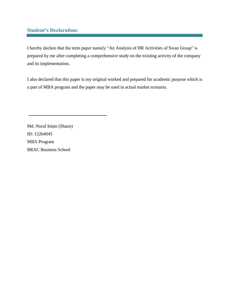#### **Student's Declaration:**

I hereby declare that the term paper namely "An Analysis of HR Activities of Swan Group" is prepared by me after completing a comprehensive study on the existing activity of the company and its implementation.

I also declared that this paper is my original worked and prepared for academic purpose which is a part of MBA program and the paper may be used in actual market scenario.

Md. Nurul Islam (Shaon) ID: 12264045 MBA Program BRAC Business School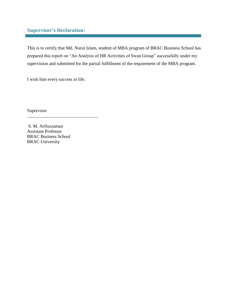#### **Supervisor's Declaration:**

This is to certify that Md. Nurul Islam, student of MBA program of BRAC Business School has prepared this report on "An Analysis of HR Activities of Swan Group" successfully under my supervision and submitted for the partial fulfillment of the requirement of the MBA program.

I wish him every success in life.

Supervisor

S. M. Arifuzzaman Assistant Professor BRAC Business School BRAC University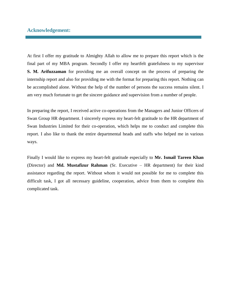#### **Acknowledgement:**

At first I offer my gratitude to Almighty Allah to allow me to prepare this report which is the final part of my MBA program. Secondly I offer my heartfelt gratefulness to my supervisor **S. M. Arifuzzaman** for providing me an overall concept on the process of preparing the internship report and also for providing me with the format for preparing this report. Nothing can be accomplished alone. Without the help of the number of persons the success remains silent. I am very much fortunate to get the sincere guidance and supervision from a number of people.

In preparing the report, I received active co-operations from the Managers and Junior Officers of Swan Group HR department. I sincerely express my heart-felt gratitude to the HR department of Swan Industries Limited for their co-operation, which helps me to conduct and complete this report. I also like to thank the entire departmental heads and staffs who helped me in various ways.

Finally I would like to express my heart-felt gratitude especially to **Mr. Ismail Tareen Khan** (Director) and **Md. Mustafizur Rahman** (Sr. Executive – HR department) for their kind assistance regarding the report. Without whom it would not possible for me to complete this difficult task, I got all necessary guideline, cooperation, advice from them to complete this complicated task.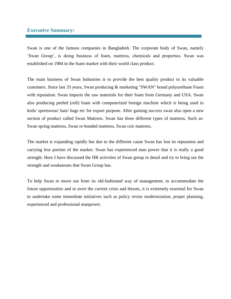#### **Executive Summary:**

Swan is one of the famous companies in Bangladesh. The corporate body of Swan, namely 'Swan Group', is doing business of foam, mattress, chemicals and properties. Swan was established on 1984 in the foam market with their world class product.

The main business of Swan Industries is to provide the best quality product to its valuable customers. Since last 33 years, Swan producing & marketing "SWAN" brand polyurethane Foam with reputation. Swan imports the raw materials for their foam from Germany and USA. Swan also producing peeled (roll) foam with computerized foreign machine which is being used in keds/ sportswear/ hats/ bags etc for export purpose. After gaining success swan also open a new section of product called Swan Mattress. Swan has three different types of mattress, Such as: Swan spring mattress, Swan re-bonded mattress, Swan coir mattress.

The market is expanding rapidly but due to the different cause Swan has lost its reputation and carrying less portion of the market. Swan has experienced man power that it is really a good strength. Here I have discussed the HR activities of Swan group in detail and try to bring out the strength and weaknesses that Swan Group has.

To help Swan to move out from its old-fashioned way of management, to accommodate the future opportunities and to avert the current crisis and threats, it is extremely essential for Swan to undertake some immediate initiatives such as policy revise modernization, proper planning, experienced and professional manpower.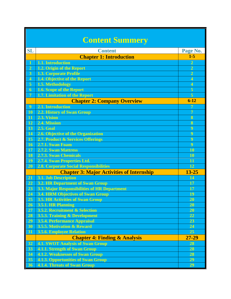|                          | <b>Content Summery</b>                                                              |                         |  |
|--------------------------|-------------------------------------------------------------------------------------|-------------------------|--|
| <b>SL</b>                | <b>Content</b>                                                                      | Page No.                |  |
|                          | <b>Chapter 1: Introduction</b>                                                      | $1-5$                   |  |
| 1                        | 1.1. Introduction                                                                   | $\overline{2}$          |  |
| $\overline{2}$           | 1.2. Origin of the Report                                                           | $\overline{2}$          |  |
| $\overline{3}$           | <b>1.3. Corporate Profile</b>                                                       | $\overline{2}$          |  |
| $\overline{4}$           | 1.4. Objective of the Report                                                        | $\overline{\mathbf{4}}$ |  |
| 5                        | 1.5. Methodology                                                                    | $\overline{4}$          |  |
| $\overline{6}$           | <b>1.6. Scope of the Report</b>                                                     | 5                       |  |
| $\overline{\mathcal{I}}$ | <b>1.7. Limitation of the Report</b>                                                | $\overline{5}$          |  |
|                          | <b>Chapter 2: Company Overview</b>                                                  | $6 - 12$                |  |
| $\overline{9}$           | 2.1. Introduction                                                                   | 7                       |  |
| 10                       | <b>2.2. History of Swan Group</b>                                                   | $\overline{7}$          |  |
| $\mathbf{11}$            | 2.3. Vision                                                                         | 8                       |  |
| 12                       | 2.4. Mission                                                                        | 8                       |  |
| 13                       | <b>2.5. Goal</b>                                                                    | 9                       |  |
| 14                       | 2.6. Objective of the Organization                                                  | 9                       |  |
| 15                       | 2.7. Product & Services Offerings                                                   | 9                       |  |
| 16                       | 2.7.1. Swan Foam                                                                    | 9                       |  |
| 17                       | 2.7.2. Swan Mattress                                                                | 10                      |  |
| 18                       | <b>2.7.3. Swan Chemicals</b>                                                        | 10                      |  |
| 19                       | 2.7.4. Swan Properties Ltd.                                                         | 11                      |  |
| 20                       | <b>2.8. Corporate Social Responsibilities</b>                                       | 12                      |  |
|                          | <b>Chapter 3: Major Activities of Internship</b>                                    | $13 - 25$               |  |
| <b>21</b>                | 3.1. Job Description                                                                | 14                      |  |
| 22                       | <b>3.2. HR Department of Swan Group</b>                                             | 17                      |  |
| 23                       | 3.3. Major Responsibilities of HR Department                                        | 17                      |  |
| 24                       | <b>3.4. HRM Objectives of Swan Group</b>                                            | 19                      |  |
| 25                       | <b>3.5. HR Activities of Swan Group</b>                                             | <b>20</b>               |  |
| 26                       | <b>3.5.1. HR Planning</b>                                                           | 20                      |  |
| <b>27</b>                | 3.5.2. Recruitment & Selection                                                      | 20                      |  |
| 28                       | 3.5.3. Training & Development                                                       | 22                      |  |
| 29                       | 3.5.4. Performance Appraisal                                                        | 23                      |  |
| 30                       | 3.5.5. Motivation & Reward<br><b>3.5.6. Employee Relation</b>                       | 24<br>25                |  |
| 31                       |                                                                                     | $27 - 29$               |  |
|                          | <b>Chapter 4: Finding &amp; Analysis</b>                                            |                         |  |
| 32                       | <b>4.1. SWOT Analysis of Swan Group</b>                                             | 28                      |  |
| 33<br>34                 | <b>4.1.1. Strength of Swan Group</b>                                                | <b>28</b><br>28         |  |
| 35                       | <b>4.1.2. Weaknesses of Swan Group</b><br><b>4.1.3. Opportunities of Swan Group</b> | 29                      |  |
| 36                       | <b>4.1.4. Threats of Swan Group</b>                                                 | 29                      |  |
|                          |                                                                                     |                         |  |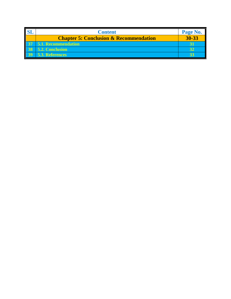|                 | <b>Content</b>                                    | Page No. |
|-----------------|---------------------------------------------------|----------|
|                 | <b>Chapter 5: Conclusion &amp; Recommendation</b> | 30-33    |
|                 | <b>5.1. Recommendation</b>                        |          |
| 38 <sup>1</sup> | 5.2. Conclusion                                   |          |
| 397             | 5.3. References                                   |          |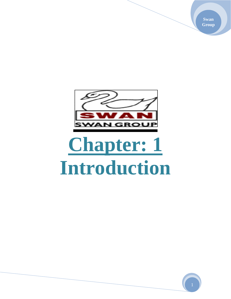**Swan Group**



# **Chapter: 1 Introduction**

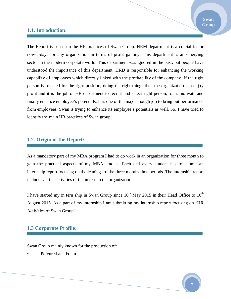#### **1.1. Introduction:**

The Report is based on the HR practices of Swan Group. HRM department is a crucial factor now-a-days for any organization in terms of profit gaining. This department is an emerging sector in the modern corporate world. This department was ignored in the past, but people have understood the importance of this department. HRD is responsible for enhancing the working capability of employees which directly linked with the profitability of the company. If the right person is selected for the right position, doing the right things then the organization can enjoy profit and it is the job of HR department to recruit and select right person, train, motivate and finally enhance employee's potentials. It is one of the major though job to bring out performance from employees. Swan is trying to enhance its employee's potentials as well. So, I have tried to identify the main HR practices of Swan group.

#### **1.2. Origin of the Report:**

As a mandatory part of my MBA program I had to do work in an organization for three month to gain the practical aspects of my MBA studies. Each and every student has to submit an internship report focusing on the leanings of the three months time periods. The internship report includes all the activities of the in tern in the organization.

I have started my in tern ship in Swan Group since  $10^{th}$  May 2015 in their Head Office to  $10^{th}$ August 2015. As a part of my internship I am submitting my internship report focusing on "HR Activities of Swan Group".

#### **1.3 Corporate Profile:**

Swan Group mainly known for the production of:

• Polyurethane Foam.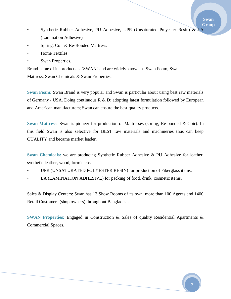- Synthetic Rubber Adhesive, PU Adhesive, UPR (Unsaturated Polyester Resin) & LA (Lamination Adhesive)
- Spring, Coir & Re-Bonded Mattress.
- Home Textiles.
- **Swan Properties.**

Brand name of its products is "SWAN" and are widely known as Swan Foam, Swan Mattress, Swan Chemicals & Swan Properties.

**Swan Foam:** Swan Brand is very popular and Swan is particular about using best raw materials of Germany / USA. Doing continuous R & D; adopting latest formulation followed by European and American manufacturers; Swan can ensure the best quality products.

**Swan Mattress:** Swan is pioneer for production of Mattresses (spring, Re-bonded & Coir). In this field Swan is also selective for BEST raw materials and machineries thus can keep QUALITY and became market leader.

**Swan Chemicals:** we are producing Synthetic Rubber Adhesive & PU Adhesive for leather, synthetic leather, wood, formic etc.

- UPR (UNSATURATED POLYESTER RESIN) for production of Fiberglass items.
- LA (LAMINATION ADHESIVE) for packing of food, drink, cosmetic items.

Sales & Display Centers: Swan has 13 Show Rooms of its own; more than 100 Agents and 1400 Retail Customers (shop owners) throughout Bangladesh.

**SWAN Properties:** Engaged in Construction & Sales of quality Residential Apartments & Commercial Spaces.

**Swan Group**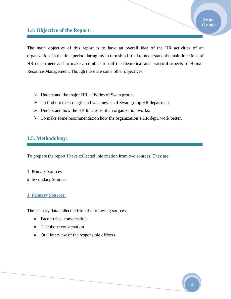#### **1.4. Objective of the Report:**

The main objective of this report is to have an overall idea of the HR activities of an organization. In the time period during my in tern ship I tried to understand the main functions of HR department and to make a combination of the theoretical and practical aspects of Human Resource Management. Though there are some other objectives:

- $\triangleright$  Understand the major HR activities of Swan group
- $\triangleright$  To find out the strength and weaknesses of Swan group HR department
- $\triangleright$  Understand how the HR functions of an organization works.
- $\triangleright$  To make some recommendation how the organization's HR dept. work better.

#### **1.5. Methodology:**

To prepare the report I have collected information from two sources. They are:

- 1. Primary Sources
- 2. Secondary Sources

#### **1. Primary Sources:**

The primary data collected from the following sources:

- Face to face conversation
- Telephone conversation
- Oral interview of the responsible officers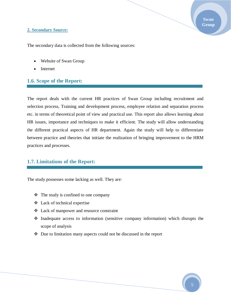#### **2. Secondary Source:**

The secondary data is collected from the following sources:

- Website of Swan Group
- Internet

#### **1.6. Scope of the Report:**

The report deals with the current HR practices of Swan Group including recruitment and selection process, Training and development process, employee relation and separation process etc. in terms of theoretical point of view and practical use. This report also allows learning about HR issues, importance and techniques to make it efficient. The study will allow understanding the different practical aspects of HR department. Again the study will help to differentiate between practice and theories that initiate the realization of bringing improvement to the HRM practices and processes.

#### **1.7. Limitations of the Report:**

The study possesses some lacking as well. They are:

- $\triangleleft$  The study is confined to one company
- Lack of technical expertise
- Lack of manpower and resource constraint
- $\cdot$  Inadequate access to information (sensitive company information) which disrupts the scope of analysis
- Due to limitation many aspects could not be discussed in the report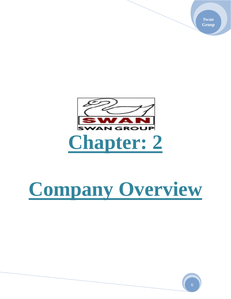**Swan Group**



# **Company Overview**

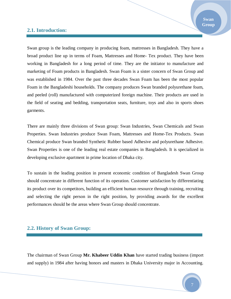#### **2.1. Introduction:**

Swan group is the leading company in producing foam, mattresses in Bangladesh. They have a broad product line up in terms of Foam, Mattresses and Home- Tex product. They have been working in Bangladesh for a long period of time. They are the initiator to manufacture and marketing of Foam products in Bangladesh. Swan Foam is a sister concern of Swan Group and was established in 1984. Over the past three decades Swan Foam has been the most popular Foam in the Bangladeshi households. The company produces Swan branded polyurethane foam, and peeled (roll) manufactured with computerized foreign machine. Their products are used in the field of seating and bedding, transportation seats, furniture, toys and also in sports shoes garments.

There are mainly three divisions of Swan group: Swan Industries, Swan Chemicals and Swan Properties. Swan Industries produce Swan Foam, Mattresses and Home-Tex Products. Swan Chemical produce Swan branded Synthetic Rubber based Adhesive and polyurethane Adhesive. Swan Properties is one of the leading real estate companies in Bangladesh. It is specialized in developing exclusive apartment in prime location of Dhaka city.

To sustain in the leading position in present economic condition of Bangladesh Swan Group should concentrate in different function of its operation. Customer satisfaction by differentiating its product over its competitors, building an efficient human resource through training, recruiting and selecting the right person in the right position, by providing awards for the excellent performances should be the areas where Swan Group should concentrate.

#### **2.2. History of Swan Group:**

The chairman of Swan Group **Mr. Khabeer Uddin Khan** have started trading business (import and supply) in 1984 after having honors and masters in Dhaka University major in Accounting.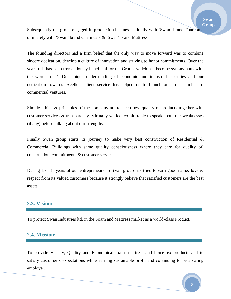Subsequently the group engaged in production business, initially with 'Swan' brand Foam and ultimately with 'Swan' brand Chemicals & 'Swan' brand Mattress.

The founding directors had a firm belief that the only way to move forward was to combine sincere dedication, develop a culture of innovation and striving to honor commitments. Over the years this has been tremendously beneficial for the Group, which has become synonymous with the word 'trust'. Our unique understanding of economic and industrial priorities and our dedication towards excellent client service has helped us to branch out in a number of commercial ventures.

Simple ethics  $\&$  principles of the company are to keep best quality of products together with customer services & transparency. Virtually we feel comfortable to speak about our weaknesses (if any) before talking about our strengths.

Finally Swan group starts its journey to make very best construction of Residential & Commercial Buildings with same quality consciousness where they care for quality of: construction, commitments & customer services.

During last 31 years of our entrepreneurship Swan group has tried to earn good name; love & respect from its valued customers because it strongly believe that satisfied customers are the best assets.

#### **2.3. Vision:**

To protect Swan Industries ltd. in the Foam and Mattress market as a world-class Product.

#### **2.4. Mission:**

To provide Variety, Quality and Economical foam, mattress and home-tex products and to satisfy customer's expectations while earning sustainable profit and continuing to be a caring employer.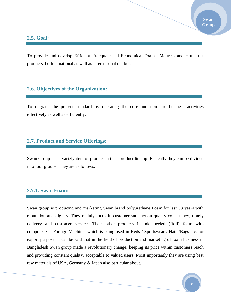#### **2.5. Goal:**

To provide and develop Efficient, Adequate and Economical Foam , Mattress and Home-tex products, both in national as well as international market.

#### **2.6. Objectives of the Organization:**

To upgrade the present standard by operating the core and non-core business activities effectively as well as efficiently.

#### **2.7. Product and Service Offerings:**

Swan Group has a variety item of product in their product line up. Basically they can be divided into four groups. They are as follows:

#### **2.7.1. Swan Foam:**

Swan group is producing and marketing Swan brand polyurethane Foam for last 33 years with reputation and dignity. They mainly focus in customer satisfaction quality consistency, timely delivery and customer service. Their other products include peeled (Roll) foam with computerized Foreign Machine, which is being used in Keds / Sportswear / Hats /Bags etc. for export purpose. It can be said that in the field of production and marketing of foam business in Bangladesh Swan group made a revolutionary change, keeping its price within customers reach and providing constant quality, acceptable to valued users. Most importantly they are using best raw materials of USA, Germany & Japan also particular about.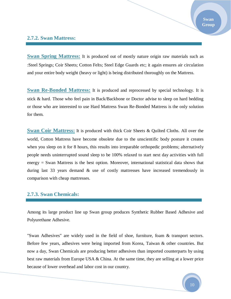#### **2.7.2. Swan Mattress:**

**Swan Spring Mattress:** It is produced out of mostly nature origin raw materials such as :Steel Springs; Coir Sheets; Cotton Felts; Steel Edge Guards etc; it again ensures air circulation and your entire body weight (heavy or light) is being distributed thoroughly on the Mattress.

**Swan Re-Bonded Mattress:** It is produced and reprocessed by special technology. It is stick & hard. Those who feel pain in Back/Backbone or Doctor advise to sleep on hard bedding or those who are interested to use Hard Mattress Swan Re-Bonded Mattress is the only solution for them.

**Swan Coir Mattress:** It is produced with thick Coir Sheets & Quilted Cloths. All over the world, Cotton Mattress have become obsolete due to the unscientific body posture it creates when you sleep on it for 8 hours, this results into irreparable orthopedic problems; alternatively people needs uninterrupted sound sleep to be 100% relaxed to start next day activities with full energy = Swan Mattress is the best option. Moreover, international statistical data shows that during last 33 years demand & use of costly mattresses have increased tremendously in comparison with cheap mattresses.

#### **2.7.3. Swan Chemicals:**

Among its large product line up Swan group produces Synthetic Rubber Based Adhesive and Polyurethane Adhesive.

"Swan Adhesives" are widely used in the field of shoe, furniture, foam & transport sectors. Before few years, adhesives were being imported from Korea, Taiwan & other countries. But now a day, Swan Chemicals are producing better adhesives than imported counterparts by using best raw materials from Europe USA & China. At the same time, they are selling at a lower price because of lower overhead and labor cost in our country.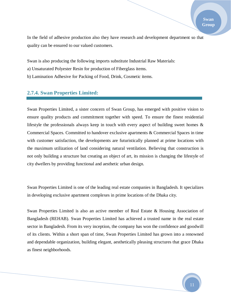In the field of adhesive production also they have research and development department so that quality can be ensured to our valued customers.

Swan is also producing the following imports substitute Industrial Raw Materials:

- a) Unsaturated Polyester Resin for production of Fiberglass items.
- b) Lamination Adhesive for Packing of Food, Drink, Cosmetic items.

#### **2.7.4. Swan Properties Limited:**

Swan Properties Limited, a sister concern of Swan Group, has emerged with positive vision to ensure quality products and commitment together with speed. To ensure the finest residential lifestyle the professionals always keep in touch with every aspect of building sweet homes  $\&$ Commercial Spaces. Committed to handover exclusive apartments & Commercial Spaces in time with customer satisfaction, the developments are futuristically planned at prime locations with the maximum utilization of land considering natural ventilation. Believing that construction is not only building a structure but creating an object of art, its mission is changing the lifestyle of city dwellers by providing functional and aesthetic urban design.

Swan Properties Limited is one of the leading real estate companies in Bangladesh. It specializes in developing exclusive apartment complexes in prime locations of the Dhaka city.

Swan Properties Limited is also an active member of Real Estate & Housing Association of Bangladesh (REHAB). Swan Properties Limited has achieved a trusted name in the real estate sector in Bangladesh. From its very inception, the company has won the confidence and goodwill of its clients. Within a short span of time, Swan Properties Limited has grown into a renowned and dependable organization, building elegant, aesthetically pleasing structures that grace Dhaka as finest neighborhoods.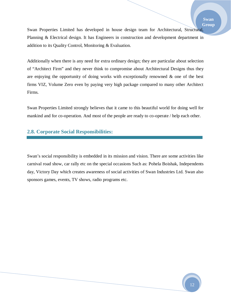Swan Properties Limited has developed in house design team for Architectural, Structural, Planning & Electrical design. It has Engineers in construction and development department in addition to its Quality Control, Monitoring & Evaluation.

Additionally when there is any need for extra ordinary design; they are particular about selection of "Architect Firm" and they never think to compromise about Architectural Designs thus they are enjoying the opportunity of doing works with exceptionally renowned & one of the best firms VIZ, Volume Zero even by paying very high package compared to many other Architect Firms.

Swan Properties Limited strongly believes that it came to this beautiful world for doing well for mankind and for co-operation. And most of the people are ready to co-operate / help each other.

#### **2.8. Corporate Social Responsibilities:**

Swan's social responsibility is embedded in its mission and vision. There are some activities like carnival road show, car rally etc on the special occasions Such as: Pohela Boishak, Independents day, Victory Day which creates awareness of social activities of Swan Industries Ltd. Swan also sponsors games, events, TV shows, radio programs etc.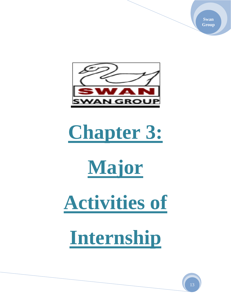**Swan Group**



# **Chapter 3:**



**Activities of** 

**Internship**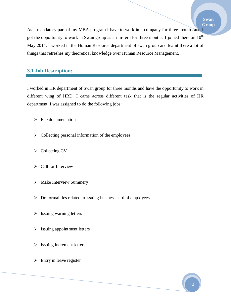As a mandatory part of my MBA program I have to work in a company for three months and I got the opportunity to work in Swan group as an In-tern for three months. I joined there on  $10<sup>th</sup>$ May 2014. I worked in the Human Resource department of swan group and learnt there a lot of things that refreshes my theoretical knowledge over Human Resource Management.

#### **3.1 Job Description:**

I worked in HR department of Swan group for three months and have the opportunity to work in different wing of HRD. I came across different task that is the regular activities of HR department. I was assigned to do the following jobs:

- $\triangleright$  File documentation
- $\triangleright$  Collecting personal information of the employees
- $\triangleright$  Collecting CV
- $\triangleright$  Call for Interview
- $\triangleright$  Make Interview Summery
- $\triangleright$  Do formalities related to issuing business card of employees
- $\triangleright$  Issuing warning letters
- $\triangleright$  Issuing appointment letters
- $\triangleright$  Issuing increment letters
- $\triangleright$  Entry in leave register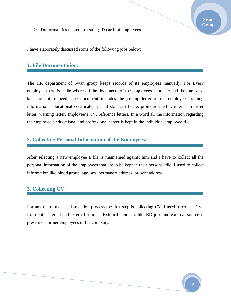$\triangleright$  Do formalities related to issuing ID cards of employees

#### **1. File Documentation:**

The HR department of Swan group keeps records of its employees manually. For Every employee there is a file where all the documents of the employees kept safe and they are also kept for future need. The document includes the joining letter of the employee, training information, educational certificate, special skill certificate, promotion letter, internal transfer letter, warning letter, employee's CV, reference letters. In a word all the information regarding the employee's educational and professional career is kept in the individual employee file.

#### **2. Collecting Personal Information of the Employees:**

After selecting a new employee a file is maintained against him and I have to collect all the personal information of the employees that are to be kept in their personal file. I used to collect information like blood group, age, sex, permanent address, present address.

#### **3. Collecting CV:**

For any recruitment and selection process the first step is collecting CV. I used to collect CVs from both internal and external sources. External source is like BD jobs and external source is present or former employees of the company.

**Swan Group**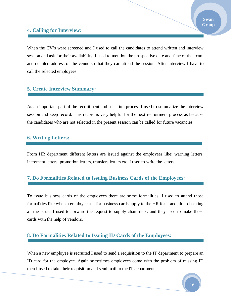#### **4. Calling for Interview:**

When the CV's were screened and I used to call the candidates to attend written and interview session and ask for their availability. I used to mention the prospective date and time of the exam and detailed address of the venue so that they can attend the session. After interview I have to call the selected employees.

#### **5. Create Interview Summary:**

As an important part of the recruitment and selection process I used to summarize the interview session and keep record. This record is very helpful for the next recruitment process as because the candidates who are not selected in the present session can be called for future vacancies.

#### **6. Writing Letters:**

From HR department different letters are issued against the employees like: warning letters, increment letters, promotion letters, transfers letters etc. I used to write the letters.

#### **7. Do Formalities Related to Issuing Business Cards of the Employees:**

To issue business cards of the employees there are some formalities. I used to attend those formalities like when a employee ask for business cards apply to the HR for it and after checking all the issues I used to forward the request to supply chain dept. and they used to make those cards with the help of vendors.

#### **8. Do Formalities Related to Issuing ID Cards of the Employees:**

When a new employee is recruited I used to send a requisition to the IT department to prepare an ID card for the employee. Again sometimes employees come with the problem of missing ID then I used to take their requisition and send mail to the IT department.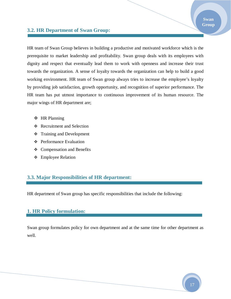#### **3.2. HR Department of Swan Group:**

HR team of Swan Group believes in building a productive and motivated workforce which is the prerequisite to market leadership and profitability. Swan group deals with its employees with dignity and respect that eventually lead them to work with openness and increase their trust towards the organization. A sense of loyalty towards the organization can help to build a good working environment. HR team of Swan group always tries to increase the employee's loyalty by providing job satisfaction, growth opportunity, and recognition of superior performance. The HR team has put utmost importance to continuous improvement of its human resource. The major wings of HR department are;

- **❖** HR Planning
- Recruitment and Selection
- **❖** Training and Development
- **❖** Performance Evaluation
- Compensation and Benefits
- Employee Relation

#### **3.3. Major Responsibilities of HR department:**

HR department of Swan group has specific responsibilities that include the following:

#### **1. HR Policy formulation:**

Swan group formulates policy for own department and at the same time for other department as well.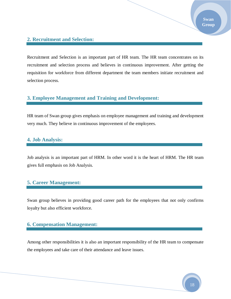#### **2. Recruitment and Selection:**

Recruitment and Selection is an important part of HR team. The HR team concentrates on its recruitment and selection process and believes in continuous improvement. After getting the requisition for workforce from different department the team members initiate recruitment and selection process.

#### **3. Employee Management and Training and Development:**

HR team of Swan group gives emphasis on employee management and training and development very much. They believe in continuous improvement of the employees.

#### **4. Job Analysis:**

Job analysis is an important part of HRM. In other word it is the heart of HRM. The HR team gives full emphasis on Job Analysis.

#### **5. Career Management:**

Swan group believes in providing good career path for the employees that not only confirms loyalty but also efficient workforce.

#### **6. Compensation Management:**

Among other responsibilities it is also an important responsibility of the HR team to compensate the employees and take care of their attendance and leave issues.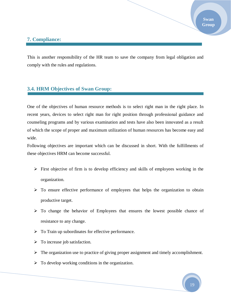#### **7. Compliance:**

This is another responsibility of the HR team to save the company from legal obligation and comply with the rules and regulations.

#### **3.4. HRM Objectives of Swan Group:**

One of the objectives of human resource methods is to select right man in the right place. In recent years, devices to select right man for right position through professional guidance and counseling programs and by various examination and tests have also been innovated as a result of which the scope of proper and maximum utilization of human resources has become easy and wide.

Following objectives are important which can be discussed in short. With the fulfillments of these objectives HRM can become successful.

- $\triangleright$  First objective of firm is to develop efficiency and skills of employees working in the organization.
- $\triangleright$  To ensure effective performance of employees that helps the organization to obtain productive target.
- $\triangleright$  To change the behavior of Employees that ensures the lowest possible chance of resistance to any change.
- $\triangleright$  To Train up subordinates for effective performance.
- $\triangleright$  To increase job satisfaction.
- $\triangleright$  The organization use to practice of giving proper assignment and timely accomplishment.
- $\triangleright$  To develop working conditions in the organization.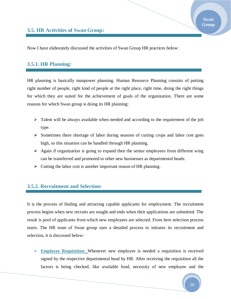Now I have elaborately discussed the activities of Swan Group HR practices below:

#### **3.5.1. HR Planning:**

HR planning is basically manpower planning. Human Resource Planning consists of putting right number of people, right kind of people at the right place, right time, doing the right things for which they are suited for the achievement of goals of the organization. There are some reasons for which Swan group is doing its HR planning:

- $\triangleright$  Talent will be always available when needed and according to the requirement of the job type.
- $\triangleright$  Sometimes there shortage of labor during seasons of cutting crops and labor cost goes high, so this situation can be handled through HR planning.
- $\triangleright$  Again if organization is going to expand then the senior employees from different wing can be transferred and promoted to other new businesses as departmental heads.
- $\triangleright$  Cutting the labor cost is another important reason of HR planning.

#### **3.5.2. Recruitment and Selection:**

It is the process of finding and attracting capable applicants for employment. The recruitment process begins when new recruits are sought and ends when their applications are submitted. The result is pool of applicants from which new employees are selected. From here selection process starts. The HR team of Swan group uses a detailed process to initiates its recruitment and selection, it is discussed below:

 **Employee Requisition:** Whenever new employee is needed a requisition is received signed by the respective departmental head by HR. After receiving the requisition all the factors is being checked, like available fund, necessity of new employee and the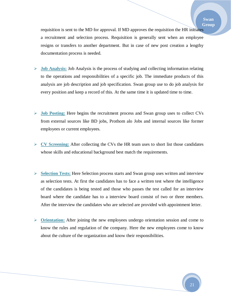requisition is sent to the MD for approval. If MD approves the requisition the HR initiates a recruitment and selection process. Requisition is generally sent when an employee resigns or transfers to another department. But in case of new post creation a lengthy documentation process is needed.

- **Job Analysis:** Job Analysis is the process of studying and collecting information relating to the operations and responsibilities of a specific job. The immediate products of this analysis are job description and job specification. Swan group use to do job analysis for every position and keep a record of this. At the same time it is updated time to time.
- **Job Posting:** Here begins the recruitment process and Swan group uses to collect CVs from external sources like BD jobs, Prothom alo Jobs and internal sources like former employees or current employees.
- **CV Screening:** After collecting the CVs the HR team uses to short list those candidates whose skills and educational background best match the requirements.
- **Selection Tests:** Here Selection process starts and Swan group uses written and interview as selection tests. At first the candidates has to face a written test where the intelligence of the candidates is being tested and those who passes the test called for an interview board where the candidate has to a interview board consist of two or three members. After the interview the candidates who are selected are provided with appointment letter.
- **Orientation:** After joining the new employees undergo orientation session and come to know the rules and regulation of the company. Here the new employees come to know about the culture of the organization and know their responsibilities.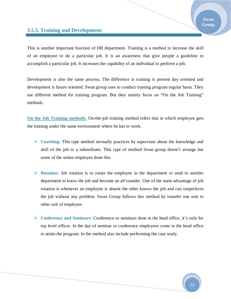#### **3.5.3. Training and Development:**

This is another important function of HR department. Training is a method to increase the skill of an employee to do a particular job. It is an awareness that give people a guideline to accomplish a particular job. It increases the capability of an individual to perform a job.

Development is also the same process. The difference is training is present day oriented and development is future oriented. Swan group uses to conduct training program regular basis. They use different method for training program. But they mainly focus on "On the Job Training" methods.

**On the Job Training methods:** On-the-job training method refers that in which employee gets the training under the same environment where he has to work.

- $\triangleright$  Coaching: This type method normally practices by supervisor about the knowledge and skill of the job to a subordinate. This type of method Swan group doesn't arrange but some of the senior employee done this.
- **Rotation:** Job rotation is to rotate the employee in the department or send to another department to know the job and become an all rounder. One of the main advantage of job rotation is whenever an employee is absent the other knows the job and can outperform the job without any problem. Swan Group follows this method by transfer one unit to other unit of employee.
- **Conference and Seminars:** Conference or seminars done in the head office, it's only for top level officer. In the day of seminar or conference employees come in the head office to attain the program. In the method also include performing the case study.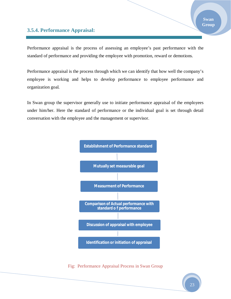#### **3.5.4. Performance Appraisal:**

Performance appraisal is the process of assessing an employee's past performance with the standard of performance and providing the employee with promotion, reward or demotions.

Performance appraisal is the process through which we can identify that how well the company's employee is working and helps to develop performance to employee performance and organization goal.

In Swan group the supervisor generally use to initiate performance appraisal of the employees under him/her. Here the standard of performance or the individual goal is set through detail conversation with the employee and the management or supervisor.



Fig: Performance Appraisal Process in Swan Group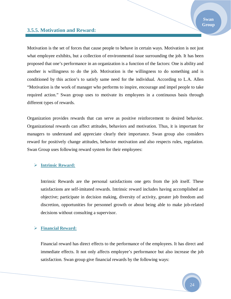#### **3.5.5. Motivation and Reward:**

Motivation is the set of forces that cause people to behave in certain ways. Motivation is not just what employee exhibits, but a collection of environmental issue surrounding the job. It has been proposed that one's performance in an organization is a function of the factors: One is ability and another is willingness to do the job. Motivation is the willingness to do something and is conditioned by this action's to satisfy same need for the individual. According to L.A. Allen "Motivation is the work of manager who performs to inspire, encourage and impel people to take required action." Swan group uses to motivate its employees in a continuous basis through different types of rewards.

Organization provides rewards that can serve as positive reinforcement to desired behavior. Organizational rewards can affect attitudes, behaviors and motivation. Thus, it is important for managers to understand and appreciate clearly their importance. Swan group also considers reward for positively change attitudes, behavior motivation and also respects rules, regulation. Swan Group uses following reward system for their employees:

#### **Intrinsic Reward:**

Intrinsic Rewards are the personal satisfactions one gets from the job itself. These satisfactions are self-imitated rewards. Intrinsic reward includes having accomplished an objective; participate in decision making, diversity of activity, greater job freedom and discretion, opportunities for personnel growth or about being able to make job-related decisions without consulting a supervisor.

#### **Financial Reward:**

Financial reward has direct effects to the performance of the employees. It has direct and immediate effects. It not only affects employee's performance but also increase the job satisfaction. Swan group give financial rewards by the following ways: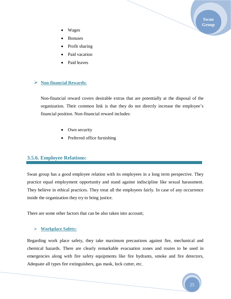**Swan Group**

- Wages
- Bonuses
- Profit sharing
- Paid vacation
- Paid leaves

#### **Non-financial Rewards:**

Non-financial reward covers desirable extras that are potentially at the disposal of the organization. Their common link is that they do not directly increase the employee's financial position. Non-financial reward includes:

- Own security
- Preferred office furnishing

#### **3.5.6. Employee Relations:**

Swan group has a good employee relation with its employees in a long term perspective. They practice equal employment opportunity and stand against indiscipline like sexual harassment. They believe in ethical practices. They treat all the employees fairly. In case of any occurrence inside the organization they try to bring justice.

There are some other factors that can be also taken into account;

#### **Workplace Safety:**

Regarding work place safety, they take maximum precautions against fire, mechanical and chemical hazards. There are clearly remarkable evacuation zones and routes to be used in emergencies along with fire safety equipments like fire hydrants, smoke and fire detectors, Adequate all types fire extinguishers, gas mask, lock cutter, etc.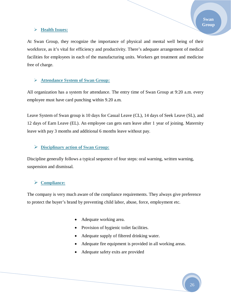At Swan Group, they recognize the importance of physical and mental well being of their workforce, as it's vital for efficiency and productivity. There's adequate arrangement of medical facilities for employees in each of the manufacturing units. Workers get treatment and medicine free of charge.

#### **Attendance System of Swan Group:**

All organization has a system for attendance. The entry time of Swan Group at 9:20 a.m. every employee must have card punching within 9.20 a.m.

Leave System of Swan group is 10 days for Casual Leave (CL), 14 days of Seek Leave (SL), and 12 days of Earn Leave (EL). An employee can gets earn leave after 1 year of joining. Maternity leave with pay 3 months and additional 6 months leave without pay.

#### **Disciplinary action of Swan Group:**

Discipline generally follows a typical sequence of four steps: oral warning, written warning, suspension and dismissal.

#### **Compliance:**

The company is very much aware of the compliance requirements. They always give preference to protect the buyer's brand by preventing child labor, abuse, force, employment etc.

- Adequate working area.
- Provision of hygienic toilet facilities.
- Adequate supply of filtered drinking water.
- Adequate fire equipment is provided in all working areas.
- Adequate safety exits are provided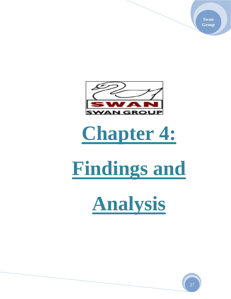**Swan Group**



### **Chapter 4:**

# **Findings and**

**Analysis**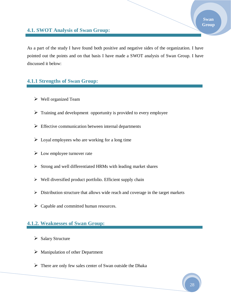#### **4.1. SWOT Analysis of Swan Group:**

As a part of the study I have found both positive and negative sides of the organization. I have pointed out the points and on that basis I have made a SWOT analysis of Swan Group. I have discussed it below:

#### **4.1.1 Strengths of Swan Group:**

- $\triangleright$  Well organized Team
- $\triangleright$  Training and development opportunity is provided to every employee
- $\triangleright$  Effective communication between internal departments
- $\triangleright$  Loyal employees who are working for a long time
- $\triangleright$  Low employee turnover rate
- $\triangleright$  Strong and well differentiated HRMs with leading market shares
- $\triangleright$  Well diversified product portfolio. Efficient supply chain
- $\triangleright$  Distribution structure that allows wide reach and coverage in the target markets
- $\triangleright$  Capable and committed human resources.

#### **4.1.2. Weaknesses of Swan Group:**

- $\triangleright$  Salary Structure
- $\triangleright$  Manipulation of other Department
- $\triangleright$  There are only few sales center of Swan outside the Dhaka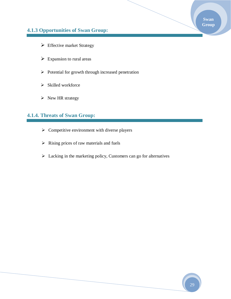#### **Swan Group**

#### **4.1.3 Opportunities of Swan Group:**

- $\triangleright$  Effective market Strategy
- $\triangleright$  Expansion to rural areas
- $\triangleright$  Potential for growth through increased penetration
- $\triangleright$  Skilled workforce
- $\triangleright$  New HR strategy

#### **4.1.4. Threats of Swan Group:**

- $\triangleright$  Competitive environment with diverse players
- $\triangleright$  Rising prices of raw materials and fuels
- $\triangleright$  Lacking in the marketing policy, Customers can go for alternatives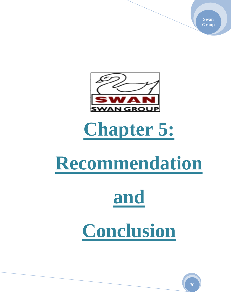**Swan Group**



### **Chapter 5:**

### **Recommendation**

# **and**

### **Conclusion**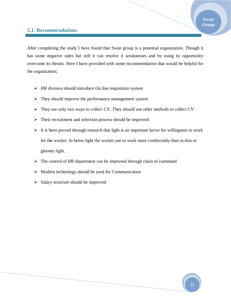#### **5.1. Recommendation:**

After completing the study I have found that Swan group is a potential organization. Though it has some negative sides but still it can resolve it weaknesses and by using its opportunity overcome its threats. Here I have provided with some recommendation that would be helpful for the organization;

- $\triangleright$  HR division should introduce On line requisition system
- $\triangleright$  They should improve the performance management system
- $\triangleright$  They use only two ways to collect CV. They should use other methods to collect CV
- $\triangleright$  Their recruitment and selection process should be improved
- $\triangleright$  It is been proved through research that light is an important factor for willingness to work for the worker. In better light the worker use to work more comfortably than in dim or gloomy light.
- $\triangleright$  The control of HR department can be improved through chain of command
- $\triangleright$  Modern technology should be used for Communication
- $\triangleright$  Salary structure should be improved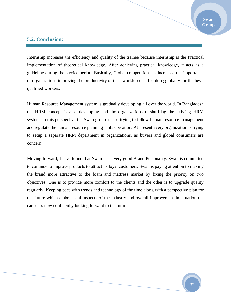#### **5.2. Conclusion:**

Internship increases the efficiency and quality of the trainee because internship is the Practical implementation of theoretical knowledge. After achieving practical knowledge, it acts as a guideline during the service period. Basically, Global competition has increased the importance of organizations improving the productivity of their workforce and looking globally for the bestqualified workers.

Human Resource Management system is gradually developing all over the world. In Bangladesh the HRM concept is also developing and the organizations re-shuffling the existing HRM system. In this perspective the Swan group is also trying to follow human resource management and regulate the human resource planning in its operation. At present every organization is trying to setup a separate HRM department in organizations, as buyers and global consumers are concern.

Moving forward, I have found that Swan has a very good Brand Personality. Swan is committed to continue to improve products to attract its loyal customers. Swan is paying attention to making the brand more attractive to the foam and mattress market by fixing the priority on two objectives. One is to provide more comfort to the clients and the other is to upgrade quality regularly. Keeping pace with trends and technology of the time along with a perspective plan for the future which embraces all aspects of the industry and overall improvement in situation the carrier is now confidently looking forward to the future.